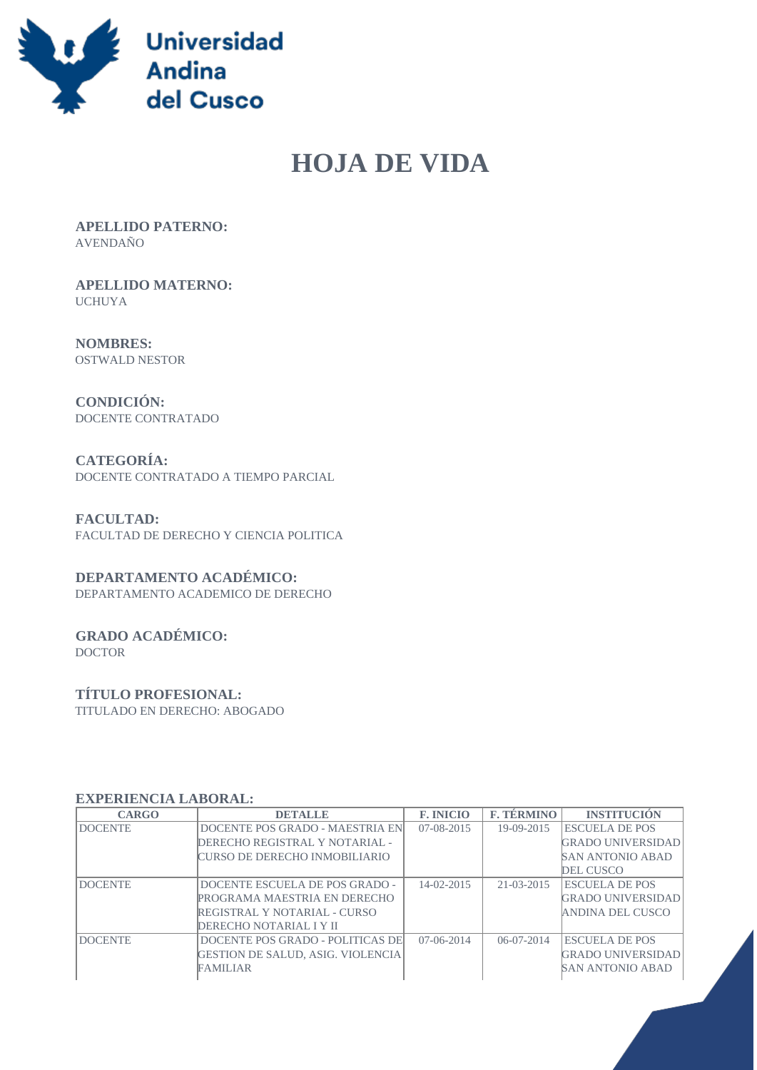

# **HOJA DE VIDA**

 **APELLIDO PATERNO:** AVENDAÑO

 **APELLIDO MATERNO:** UCHUYA

 **NOMBRES:** OSTWALD NESTOR

 **CONDICIÓN:** DOCENTE CONTRATADO

 **CATEGORÍA:** DOCENTE CONTRATADO A TIEMPO PARCIAL

 **FACULTAD:** FACULTAD DE DERECHO Y CIENCIA POLITICA

## **DEPARTAMENTO ACADÉMICO:**

DEPARTAMENTO ACADEMICO DE DERECHO

#### **GRADO ACADÉMICO:** DOCTOR

## **TÍTULO PROFESIONAL:**

TITULADO EN DERECHO: ABOGADO

#### **EXPERIENCIA LABORAL:**

| <b>CARGO</b>   | <b>DETALLE</b>                           | <b>F. INICIO</b> | <b>F. TÉRMINO</b> | <b>INSTITUCIÓN</b>       |
|----------------|------------------------------------------|------------------|-------------------|--------------------------|
| <b>DOCENTE</b> | DOCENTE POS GRADO - MAESTRIA EN          | $07 - 08 - 2015$ | 19-09-2015        | <b>ESCUELA DE POS</b>    |
|                | DERECHO REGISTRAL Y NOTARIAL -           |                  |                   | <b>GRADO UNIVERSIDAD</b> |
|                | CURSO DE DERECHO INMOBILIARIO            |                  |                   | <b>SAN ANTONIO ABAD</b>  |
|                |                                          |                  |                   | DEL CUSCO                |
| <b>DOCENTE</b> | DOCENTE ESCUELA DE POS GRADO -           | $14 - 02 - 2015$ | $21 - 03 - 2015$  | <b>ESCUELA DE POS</b>    |
|                | PROGRAMA MAESTRIA EN DERECHO             |                  |                   | <b>GRADO UNIVERSIDAD</b> |
|                | REGISTRAL Y NOTARIAL - CURSO             |                  |                   | ANDINA DEL CUSCO         |
|                | DERECHO NOTARIAL I Y II                  |                  |                   |                          |
| <b>DOCENTE</b> | DOCENTE POS GRADO - POLITICAS DE         | $07-06-2014$     | $06-07-2014$      | <b>ESCUELA DE POS</b>    |
|                | <b>GESTION DE SALUD, ASIG. VIOLENCIA</b> |                  |                   | <b>GRADO UNIVERSIDAD</b> |
|                | FAMILIAR                                 |                  |                   | <b>SAN ANTONIO ABAD</b>  |
|                |                                          |                  |                   |                          |